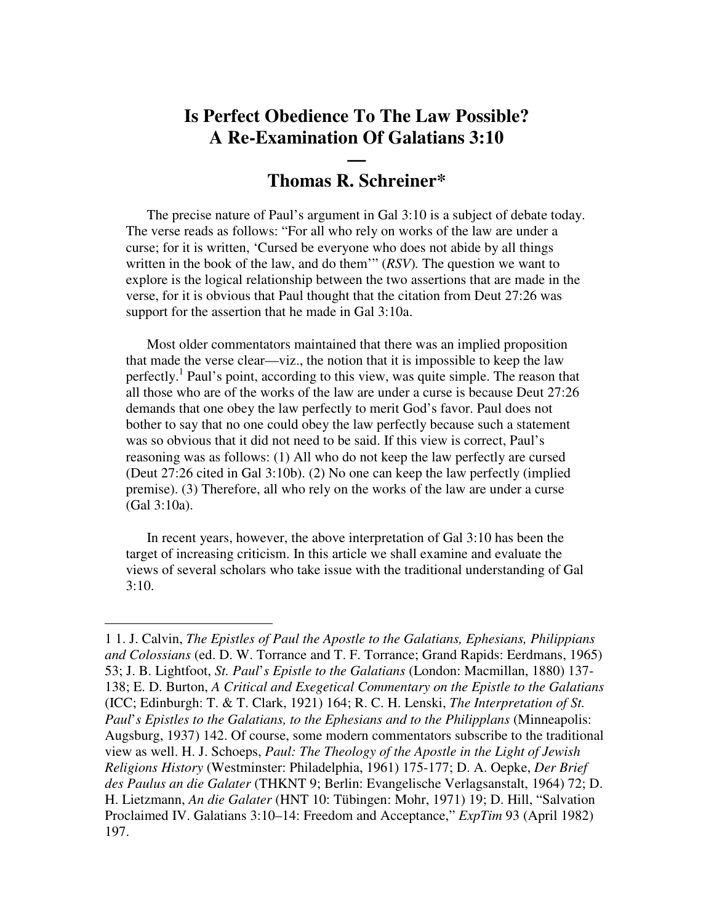## **Is Perfect Obedience To The Law Possible? A Re-Examination Of Galatians 3:10**

## **— Thomas R. Schreiner\***

The precise nature of Paul's argument in Gal 3:10 is a subject of debate today. The verse reads as follows: "For all who rely on works of the law are under a curse; for it is written, 'Cursed be everyone who does not abide by all things written in the book of the law, and do them'" (*RSV*)*.* The question we want to explore is the logical relationship between the two assertions that are made in the verse, for it is obvious that Paul thought that the citation from Deut 27:26 was support for the assertion that he made in Gal 3:10a.

Most older commentators maintained that there was an implied proposition that made the verse clear—viz., the notion that it is impossible to keep the law perfectly.<sup>1</sup> Paul's point, according to this view, was quite simple. The reason that all those who are of the works of the law are under a curse is because Deut 27:26 demands that one obey the law perfectly to merit God's favor. Paul does not bother to say that no one could obey the law perfectly because such a statement was so obvious that it did not need to be said. If this view is correct, Paul's reasoning was as follows: (1) All who do not keep the law perfectly are cursed (Deut 27:26 cited in Gal 3:10b). (2) No one can keep the law perfectly (implied premise). (3) Therefore, all who rely on the works of the law are under a curse (Gal 3:10a).

In recent years, however, the above interpretation of Gal 3:10 has been the target of increasing criticism. In this article we shall examine and evaluate the views of several scholars who take issue with the traditional understanding of Gal  $3:10.$ 

<sup>1</sup> 1. J. Calvin, *The Epistles of Paul the Apostle to the Galatians, Ephesians, Philippians and Colossians* (ed. D. W. Torrance and T. F. Torrance; Grand Rapids: Eerdmans, 1965) 53; J. B. Lightfoot, *St. Paul*'*s Epistle to the Galatians* (London: Macmillan, 1880) 137- 138; E. D. Burton, *A Critical and Exegetical Commentary on the Epistle to the Galatians* (ICC; Edinburgh: T. & T. Clark, 1921) 164; R. C. H. Lenski, *The Interpretation of St. Paul*'*s Epistles to the Galatians, to the Ephesians and to the Philipplans* (Minneapolis: Augsburg, 1937) 142. Of course, some modern commentators subscribe to the traditional view as well. H. J. Schoeps, *Paul: The Theology of the Apostle in the Light of Jewish Religions History* (Westminster: Philadelphia, 1961) 175-177; D. A. Oepke, *Der Brief des Paulus an die Galater* (THKNT 9; Berlin: Evangelische Verlagsanstalt, 1964) 72; D. H. Lietzmann, *An die Galater* (HNT 10: Tübingen: Mohr, 1971) 19; D. Hill, "Salvation Proclaimed IV. Galatians 3:10–14: Freedom and Acceptance," *ExpTim* 93 (April 1982) 197.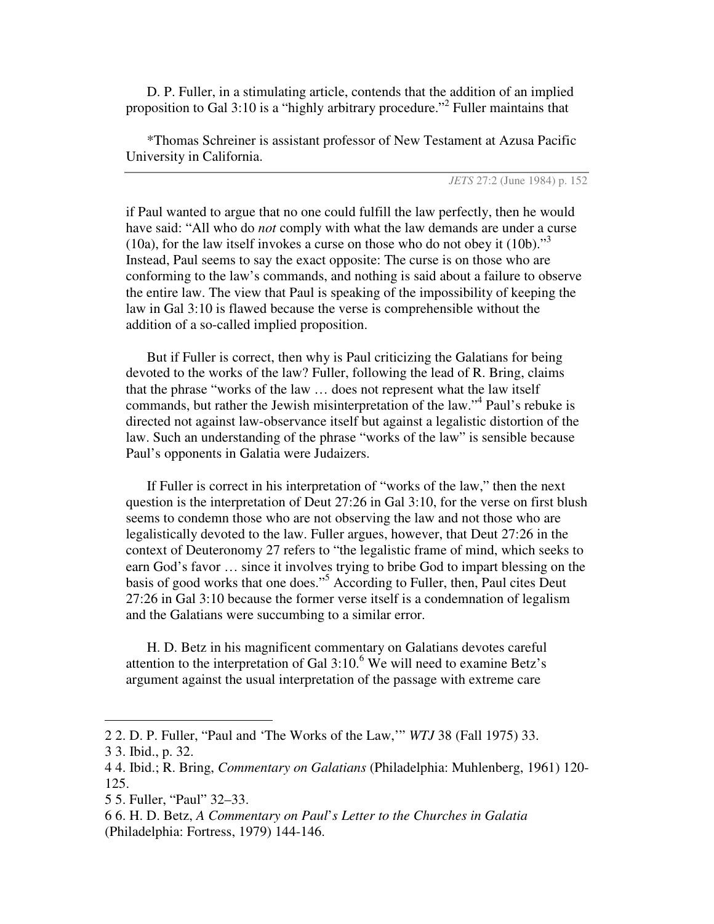D. P. Fuller, in a stimulating article, contends that the addition of an implied proposition to Gal 3:10 is a "highly arbitrary procedure."<sup>2</sup> Fuller maintains that

\*Thomas Schreiner is assistant professor of New Testament at Azusa Pacific University in California.

*JETS* 27:2 (June 1984) p. 152

if Paul wanted to argue that no one could fulfill the law perfectly, then he would have said: "All who do *not* comply with what the law demands are under a curse (10a), for the law itself invokes a curse on those who do not obey it  $(10b)$ ."<sup>3</sup> Instead, Paul seems to say the exact opposite: The curse is on those who are conforming to the law's commands, and nothing is said about a failure to observe the entire law. The view that Paul is speaking of the impossibility of keeping the law in Gal 3:10 is flawed because the verse is comprehensible without the addition of a so-called implied proposition.

But if Fuller is correct, then why is Paul criticizing the Galatians for being devoted to the works of the law? Fuller, following the lead of R. Bring, claims that the phrase "works of the law … does not represent what the law itself commands, but rather the Jewish misinterpretation of the law."<sup>4</sup> Paul's rebuke is directed not against law-observance itself but against a legalistic distortion of the law. Such an understanding of the phrase "works of the law" is sensible because Paul's opponents in Galatia were Judaizers.

If Fuller is correct in his interpretation of "works of the law," then the next question is the interpretation of Deut 27:26 in Gal 3:10, for the verse on first blush seems to condemn those who are not observing the law and not those who are legalistically devoted to the law. Fuller argues, however, that Deut 27:26 in the context of Deuteronomy 27 refers to "the legalistic frame of mind, which seeks to earn God's favor … since it involves trying to bribe God to impart blessing on the basis of good works that one does." <sup>5</sup> According to Fuller, then, Paul cites Deut 27:26 in Gal 3:10 because the former verse itself is a condemnation of legalism and the Galatians were succumbing to a similar error.

H. D. Betz in his magnificent commentary on Galatians devotes careful attention to the interpretation of Gal 3:10. <sup>6</sup> We will need to examine Betz's argument against the usual interpretation of the passage with extreme care

<sup>2</sup> 2. D. P. Fuller, "Paul and 'The Works of the Law,'" *WTJ* 38 (Fall 1975) 33.

<sup>3</sup> 3. Ibid., p. 32.

<sup>4</sup> 4. Ibid.; R. Bring, *Commentary on Galatians* (Philadelphia: Muhlenberg, 1961) 120- 125.

<sup>5</sup> 5. Fuller, "Paul" 32–33.

<sup>6</sup> 6. H. D. Betz, *A Commentary on Paul*'*s Letter to the Churches in Galatia* (Philadelphia: Fortress, 1979) 144-146.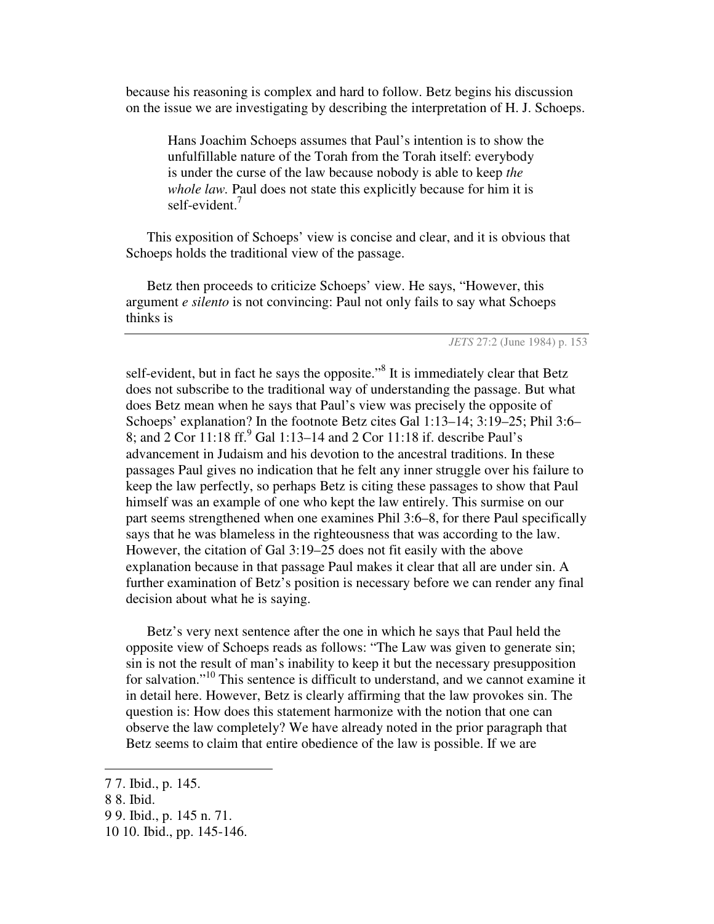because his reasoning is complex and hard to follow. Betz begins his discussion on the issue we are investigating by describing the interpretation of H. J. Schoeps.

Hans Joachim Schoeps assumes that Paul's intention is to show the unfulfillable nature of the Torah from the Torah itself: everybody is under the curse of the law because nobody is able to keep *the whole law.* Paul does not state this explicitly because for him it is self-evident.<sup>7</sup>

This exposition of Schoeps' view is concise and clear, and it is obvious that Schoeps holds the traditional view of the passage.

Betz then proceeds to criticize Schoeps' view. He says, "However, this argument *e silento* is not convincing: Paul not only fails to say what Schoeps thinks is

*JETS* 27:2 (June 1984) p. 153

self-evident, but in fact he says the opposite."<sup>8</sup> It is immediately clear that Betz does not subscribe to the traditional way of understanding the passage. But what does Betz mean when he says that Paul's view was precisely the opposite of Schoeps' explanation? In the footnote Betz cites Gal 1:13–14; 3:19–25; Phil 3:6– 8; and 2 Cor 11:18 ff. <sup>9</sup> Gal 1:13–14 and 2 Cor 11:18 if. describe Paul's advancement in Judaism and his devotion to the ancestral traditions. In these passages Paul gives no indication that he felt any inner struggle over his failure to keep the law perfectly, so perhaps Betz is citing these passages to show that Paul himself was an example of one who kept the law entirely. This surmise on our part seems strengthened when one examines Phil 3:6–8, for there Paul specifically says that he was blameless in the righteousness that was according to the law. However, the citation of Gal 3:19–25 does not fit easily with the above explanation because in that passage Paul makes it clear that all are under sin. A further examination of Betz's position is necessary before we can render any final decision about what he is saying.

Betz's very next sentence after the one in which he says that Paul held the opposite view of Schoeps reads as follows: "The Law was given to generate sin; sin is not the result of man's inability to keep it but the necessary presupposition for salvation."<sup>10</sup> This sentence is difficult to understand, and we cannot examine it in detail here. However, Betz is clearly affirming that the law provokes sin. The question is: How does this statement harmonize with the notion that one can observe the law completely? We have already noted in the prior paragraph that Betz seems to claim that entire obedience of the law is possible. If we are

<sup>7</sup> 7. Ibid., p. 145.

<sup>8</sup> 8. Ibid.

<sup>9</sup> 9. Ibid., p. 145 n. 71.

<sup>10</sup> 10. Ibid., pp. 145-146.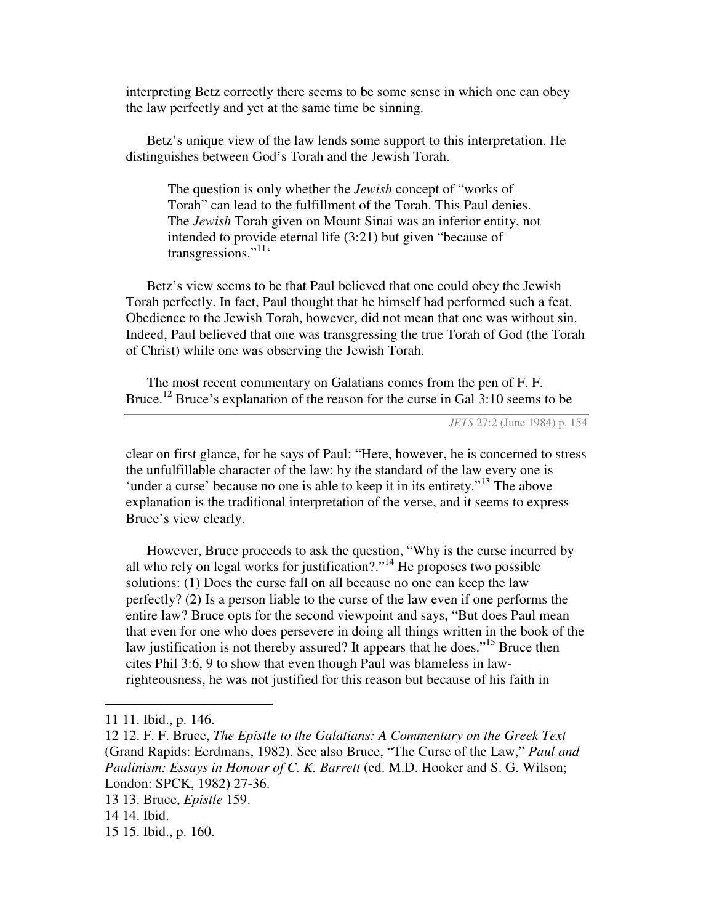interpreting Betz correctly there seems to be some sense in which one can obey the law perfectly and yet at the same time be sinning.

Betz's unique view of the law lends some support to this interpretation. He distinguishes between God's Torah and the Jewish Torah.

The question is only whether the *Jewish* concept of "works of Torah" can lead to the fulfillment of the Torah. This Paul denies. The *Jewish* Torah given on Mount Sinai was an inferior entity, not intended to provide eternal life (3:21) but given "because of transgressions."<sup>11</sup>

Betz's view seems to be that Paul believed that one could obey the Jewish Torah perfectly. In fact, Paul thought that he himself had performed such a feat. Obedience to the Jewish Torah, however, did not mean that one was without sin. Indeed, Paul believed that one was transgressing the true Torah of God (the Torah of Christ) while one was observing the Jewish Torah.

The most recent commentary on Galatians comes from the pen of F. F. Bruce.<sup>12</sup> Bruce's explanation of the reason for the curse in Gal  $3:10$  seems to be

*JETS* 27:2 (June 1984) p. 154

clear on first glance, for he says of Paul: "Here, however, he is concerned to stress the unfulfillable character of the law: by the standard of the law every one is 'under a curse' because no one is able to keep it in its entirety."<sup>13</sup> The above explanation is the traditional interpretation of the verse, and it seems to express Bruce's view clearly.

However, Bruce proceeds to ask the question, "Why is the curse incurred by all who rely on legal works for justification?."<sup>14</sup> He proposes two possible solutions: (1) Does the curse fall on all because no one can keep the law perfectly? (2) Is a person liable to the curse of the law even if one performs the entire law? Bruce opts for the second viewpoint and says, "But does Paul mean that even for one who does persevere in doing all things written in the book of the law justification is not thereby assured? It appears that he does."<sup>15</sup> Bruce then cites Phil 3:6, 9 to show that even though Paul was blameless in lawrighteousness, he was not justified for this reason but because of his faith in

<sup>11</sup> 11. Ibid., p. 146.

<sup>12</sup> 12. F. F. Bruce, *The Epistle to the Galatians: A Commentary on the Greek Text* (Grand Rapids: Eerdmans, 1982). See also Bruce, "The Curse of the Law," *Paul and Paulinism: Essays in Honour of C. K. Barrett* (ed. M.D. Hooker and S. G. Wilson; London: SPCK, 1982) 27-36.

<sup>13</sup> 13. Bruce, *Epistle* 159.

<sup>14</sup> 14. Ibid.

<sup>15</sup> 15. Ibid., p. 160.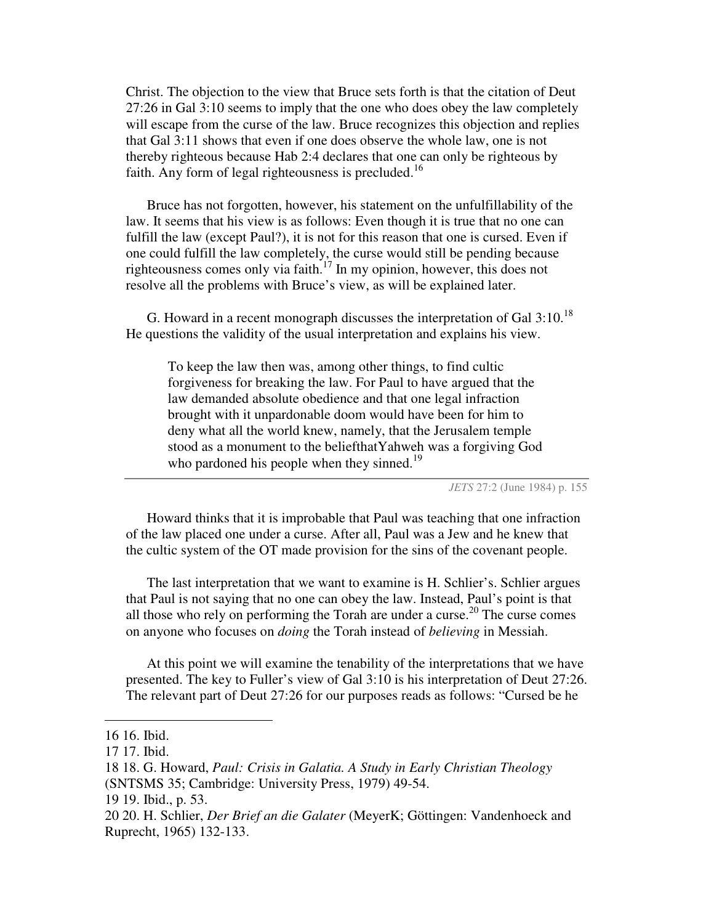Christ. The objection to the view that Bruce sets forth is that the citation of Deut 27:26 in Gal 3:10 seems to imply that the one who does obey the law completely will escape from the curse of the law. Bruce recognizes this objection and replies that Gal 3:11 shows that even if one does observe the whole law, one is not thereby righteous because Hab 2:4 declares that one can only be righteous by faith. Any form of legal righteousness is precluded.<sup>16</sup>

Bruce has not forgotten, however, his statement on the unfulfillability of the law. It seems that his view is as follows: Even though it is true that no one can fulfill the law (except Paul?), it is not for this reason that one is cursed. Even if one could fulfill the law completely, the curse would still be pending because righteousness comes only via faith.<sup>17</sup> In my opinion, however, this does not resolve all the problems with Bruce's view, as will be explained later.

G. Howard in a recent monograph discusses the interpretation of Gal  $3:10.^{18}$ He questions the validity of the usual interpretation and explains his view.

To keep the law then was, among other things, to find cultic forgiveness for breaking the law. For Paul to have argued that the law demanded absolute obedience and that one legal infraction brought with it unpardonable doom would have been for him to deny what all the world knew, namely, that the Jerusalem temple stood as a monument to the beliefthatYahweh was a forgiving God who pardoned his people when they sinned.<sup>19</sup>

*JETS* 27:2 (June 1984) p. 155

Howard thinks that it is improbable that Paul was teaching that one infraction of the law placed one under a curse. After all, Paul was a Jew and he knew that the cultic system of the OT made provision for the sins of the covenant people.

The last interpretation that we want to examine is H. Schlier's. Schlier argues that Paul is not saying that no one can obey the law. Instead, Paul's point is that all those who rely on performing the Torah are under a curse. 20 The curse comes on anyone who focuses on *doing* the Torah instead of *believing* in Messiah.

At this point we will examine the tenability of the interpretations that we have presented. The key to Fuller's view of Gal 3:10 is his interpretation of Deut 27:26. The relevant part of Deut 27:26 for our purposes reads as follows: "Cursed be he

<sup>16</sup> 16. Ibid.

<sup>17</sup> 17. Ibid.

<sup>18</sup> 18. G. Howard, *Paul: Crisis in Galatia. A Study in Early Christian Theology*

<sup>(</sup>SNTSMS 35; Cambridge: University Press, 1979) 49-54.

<sup>19</sup> 19. Ibid., p. 53.

<sup>20</sup> 20. H. Schlier, *Der Brief an die Galater* (MeyerK; Göttingen: Vandenhoeck and Ruprecht, 1965) 132-133.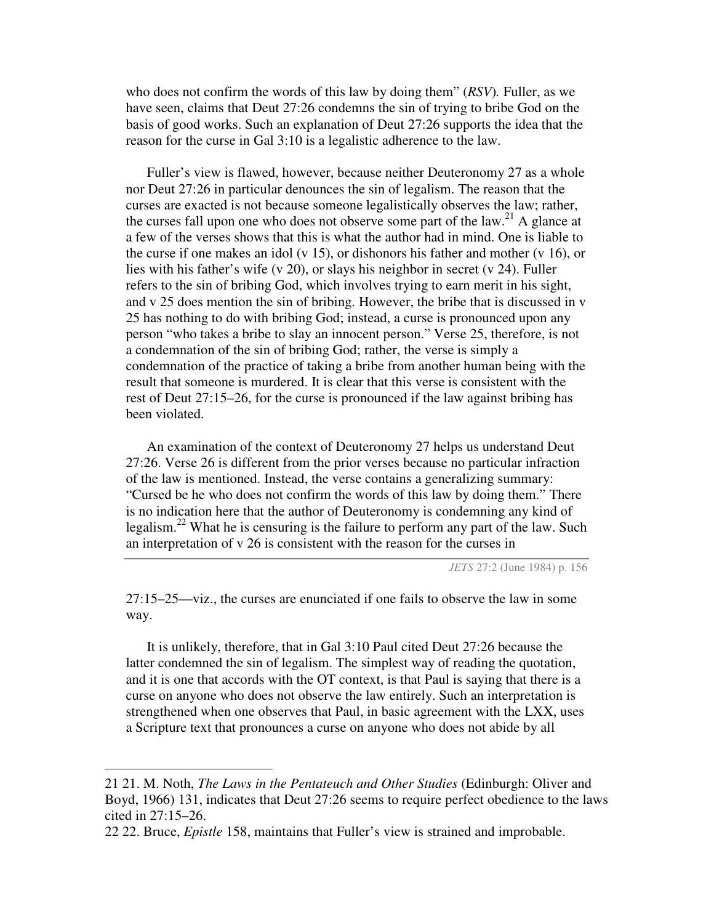who does not confirm the words of this law by doing them" (*RSV*)*.* Fuller, as we have seen, claims that Deut 27:26 condemns the sin of trying to bribe God on the basis of good works. Such an explanation of Deut 27:26 supports the idea that the reason for the curse in Gal 3:10 is a legalistic adherence to the law.

Fuller's view is flawed, however, because neither Deuteronomy 27 as a whole nor Deut 27:26 in particular denounces the sin of legalism. The reason that the curses are exacted is not because someone legalistically observes the law; rather, the curses fall upon one who does not observe some part of the  $law<sup>21</sup>$  A glance at a few of the verses shows that this is what the author had in mind. One is liable to the curse if one makes an idol (v 15), or dishonors his father and mother (v 16), or lies with his father's wife (v 20), or slays his neighbor in secret (v 24). Fuller refers to the sin of bribing God, which involves trying to earn merit in his sight, and v 25 does mention the sin of bribing. However, the bribe that is discussed in v 25 has nothing to do with bribing God; instead, a curse is pronounced upon any person "who takes a bribe to slay an innocent person." Verse 25, therefore, is not a condemnation of the sin of bribing God; rather, the verse is simply a condemnation of the practice of taking a bribe from another human being with the result that someone is murdered. It is clear that this verse is consistent with the rest of Deut 27:15–26, for the curse is pronounced if the law against bribing has been violated.

An examination of the context of Deuteronomy 27 helps us understand Deut 27:26. Verse 26 is different from the prior verses because no particular infraction of the law is mentioned. Instead, the verse contains a generalizing summary: "Cursed be he who does not confirm the words of this law by doing them." There is no indication here that the author of Deuteronomy is condemning any kind of legalism.<sup>22</sup> What he is censuring is the failure to perform any part of the law. Such an interpretation of v 26 is consistent with the reason for the curses in

*JETS* 27:2 (June 1984) p. 156

27:15–25—viz., the curses are enunciated if one fails to observe the law in some way.

It is unlikely, therefore, that in Gal 3:10 Paul cited Deut 27:26 because the latter condemned the sin of legalism. The simplest way of reading the quotation, and it is one that accords with the OT context, is that Paul is saying that there is a curse on anyone who does not observe the law entirely. Such an interpretation is strengthened when one observes that Paul, in basic agreement with the LXX, uses a Scripture text that pronounces a curse on anyone who does not abide by all

<sup>21</sup> 21. M. Noth, *The Laws in the Pentateuch and Other Studies* (Edinburgh: Oliver and Boyd, 1966) 131, indicates that Deut 27:26 seems to require perfect obedience to the laws cited in 27:15–26.

<sup>22</sup> 22. Bruce, *Epistle* 158, maintains that Fuller's view is strained and improbable.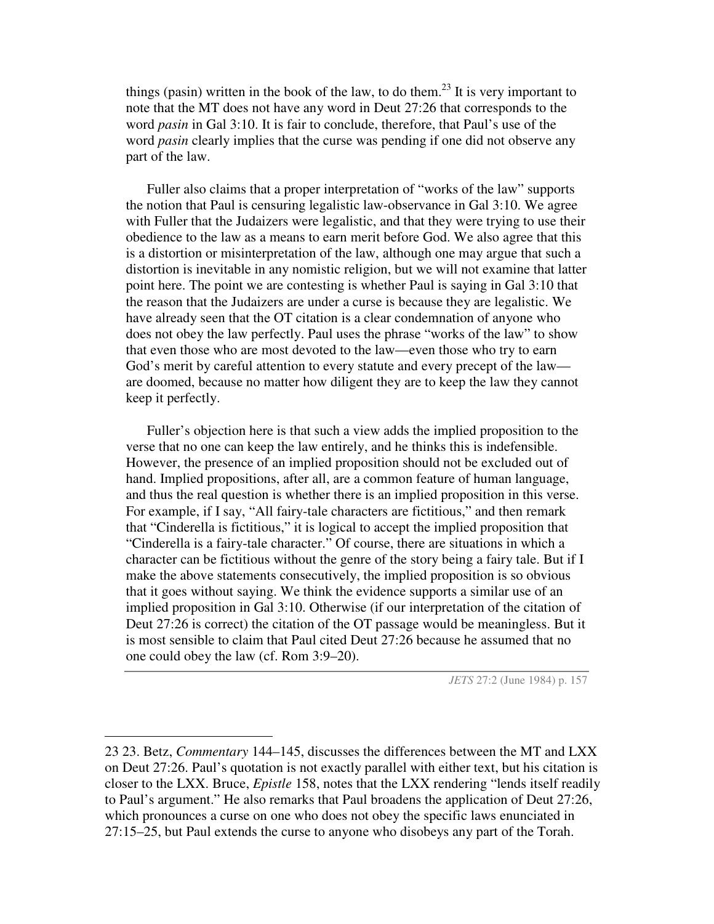things (pasin) written in the book of the law, to do them.<sup>23</sup> It is very important to note that the MT does not have any word in Deut 27:26 that corresponds to the word *pasin* in Gal 3:10. It is fair to conclude, therefore, that Paul's use of the word *pasin* clearly implies that the curse was pending if one did not observe any part of the law.

Fuller also claims that a proper interpretation of "works of the law" supports the notion that Paul is censuring legalistic law-observance in Gal 3:10. We agree with Fuller that the Judaizers were legalistic, and that they were trying to use their obedience to the law as a means to earn merit before God. We also agree that this is a distortion or misinterpretation of the law, although one may argue that such a distortion is inevitable in any nomistic religion, but we will not examine that latter point here. The point we are contesting is whether Paul is saying in Gal 3:10 that the reason that the Judaizers are under a curse is because they are legalistic. We have already seen that the OT citation is a clear condemnation of anyone who does not obey the law perfectly. Paul uses the phrase "works of the law" to show that even those who are most devoted to the law—even those who try to earn God's merit by careful attention to every statute and every precept of the law are doomed, because no matter how diligent they are to keep the law they cannot keep it perfectly.

Fuller's objection here is that such a view adds the implied proposition to the verse that no one can keep the law entirely, and he thinks this is indefensible. However, the presence of an implied proposition should not be excluded out of hand. Implied propositions, after all, are a common feature of human language, and thus the real question is whether there is an implied proposition in this verse. For example, if I say, "All fairy-tale characters are fictitious," and then remark that "Cinderella is fictitious," it is logical to accept the implied proposition that "Cinderella is a fairy-tale character." Of course, there are situations in which a character can be fictitious without the genre of the story being a fairy tale. But if I make the above statements consecutively, the implied proposition is so obvious that it goes without saying. We think the evidence supports a similar use of an implied proposition in Gal 3:10. Otherwise (if our interpretation of the citation of Deut 27:26 is correct) the citation of the OT passage would be meaningless. But it is most sensible to claim that Paul cited Deut 27:26 because he assumed that no one could obey the law (cf. Rom 3:9–20).

*JETS* 27:2 (June 1984) p. 157

<sup>23</sup> 23. Betz, *Commentary* 144–145, discusses the differences between the MT and LXX on Deut 27:26. Paul's quotation is not exactly parallel with either text, but his citation is closer to the LXX. Bruce, *Epistle* 158, notes that the LXX rendering "lends itself readily to Paul's argument." He also remarks that Paul broadens the application of Deut 27:26, which pronounces a curse on one who does not obey the specific laws enunciated in 27:15–25, but Paul extends the curse to anyone who disobeys any part of the Torah.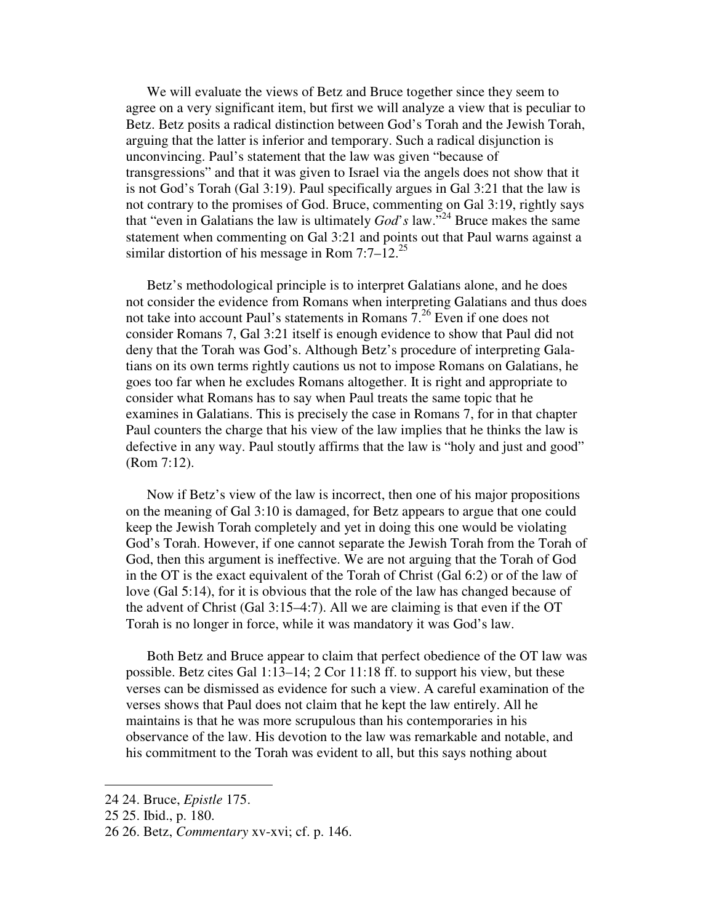We will evaluate the views of Betz and Bruce together since they seem to agree on a very significant item, but first we will analyze a view that is peculiar to Betz. Betz posits a radical distinction between God's Torah and the Jewish Torah, arguing that the latter is inferior and temporary. Such a radical disjunction is unconvincing. Paul's statement that the law was given "because of transgressions" and that it was given to Israel via the angels does not show that it is not God's Torah (Gal 3:19). Paul specifically argues in Gal 3:21 that the law is not contrary to the promises of God. Bruce, commenting on Gal 3:19, rightly says that "even in Galatians the law is ultimately *God*'*s* law." <sup>24</sup> Bruce makes the same statement when commenting on Gal 3:21 and points out that Paul warns against a similar distortion of his message in Rom  $7:7-12.^{25}$ 

Betz's methodological principle is to interpret Galatians alone, and he does not consider the evidence from Romans when interpreting Galatians and thus does not take into account Paul's statements in Romans 7.<sup>26</sup> Even if one does not consider Romans 7, Gal 3:21 itself is enough evidence to show that Paul did not deny that the Torah was God's. Although Betz's procedure of interpreting Galatians on its own terms rightly cautions us not to impose Romans on Galatians, he goes too far when he excludes Romans altogether. It is right and appropriate to consider what Romans has to say when Paul treats the same topic that he examines in Galatians. This is precisely the case in Romans 7, for in that chapter Paul counters the charge that his view of the law implies that he thinks the law is defective in any way. Paul stoutly affirms that the law is "holy and just and good" (Rom 7:12).

Now if Betz's view of the law is incorrect, then one of his major propositions on the meaning of Gal 3:10 is damaged, for Betz appears to argue that one could keep the Jewish Torah completely and yet in doing this one would be violating God's Torah. However, if one cannot separate the Jewish Torah from the Torah of God, then this argument is ineffective. We are not arguing that the Torah of God in the OT is the exact equivalent of the Torah of Christ (Gal 6:2) or of the law of love (Gal 5:14), for it is obvious that the role of the law has changed because of the advent of Christ (Gal 3:15–4:7). All we are claiming is that even if the OT Torah is no longer in force, while it was mandatory it was God's law.

Both Betz and Bruce appear to claim that perfect obedience of the OT law was possible. Betz cites Gal 1:13–14; 2 Cor 11:18 ff. to support his view, but these verses can be dismissed as evidence for such a view. A careful examination of the verses shows that Paul does not claim that he kept the law entirely. All he maintains is that he was more scrupulous than his contemporaries in his observance of the law. His devotion to the law was remarkable and notable, and his commitment to the Torah was evident to all, but this says nothing about

<sup>24</sup> 24. Bruce, *Epistle* 175.

<sup>25</sup> 25. Ibid., p. 180.

<sup>26</sup> 26. Betz, *Commentary* xv-xvi; cf. p. 146.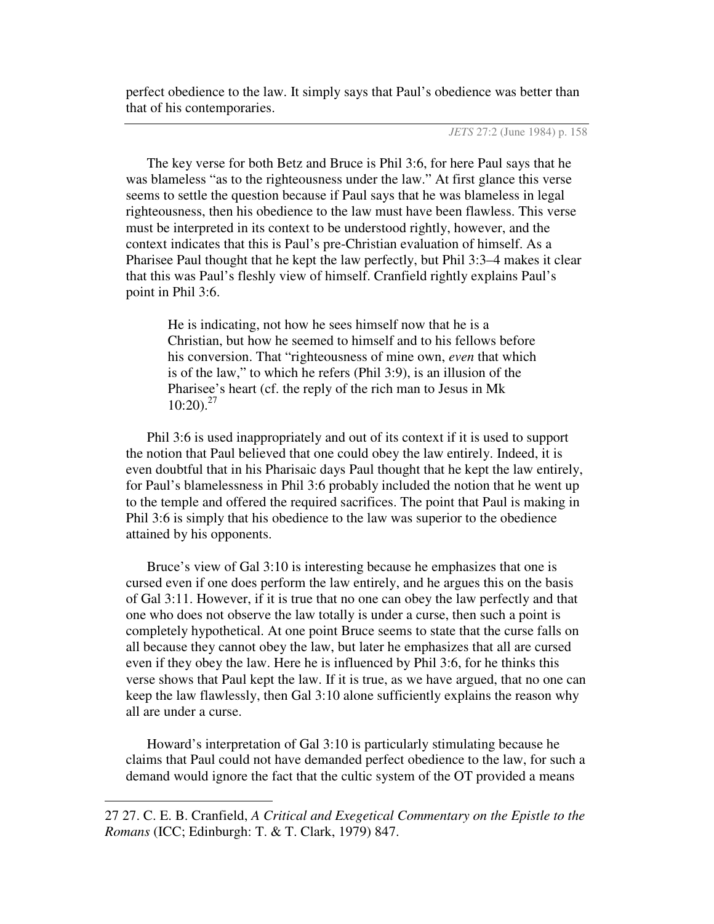perfect obedience to the law. It simply says that Paul's obedience was better than that of his contemporaries.

*JETS* 27:2 (June 1984) p. 158

The key verse for both Betz and Bruce is Phil 3:6, for here Paul says that he was blameless "as to the righteousness under the law." At first glance this verse seems to settle the question because if Paul says that he was blameless in legal righteousness, then his obedience to the law must have been flawless. This verse must be interpreted in its context to be understood rightly, however, and the context indicates that this is Paul's pre-Christian evaluation of himself. As a Pharisee Paul thought that he kept the law perfectly, but Phil 3:3–4 makes it clear that this was Paul's fleshly view of himself. Cranfield rightly explains Paul's point in Phil 3:6.

He is indicating, not how he sees himself now that he is a Christian, but how he seemed to himself and to his fellows before his conversion. That "righteousness of mine own, *even* that which is of the law," to which he refers (Phil 3:9), is an illusion of the Pharisee's heart (cf. the reply of the rich man to Jesus in Mk 10:20). 27

Phil 3:6 is used inappropriately and out of its context if it is used to support the notion that Paul believed that one could obey the law entirely. Indeed, it is even doubtful that in his Pharisaic days Paul thought that he kept the law entirely, for Paul's blamelessness in Phil 3:6 probably included the notion that he went up to the temple and offered the required sacrifices. The point that Paul is making in Phil 3:6 is simply that his obedience to the law was superior to the obedience attained by his opponents.

Bruce's view of Gal 3:10 is interesting because he emphasizes that one is cursed even if one does perform the law entirely, and he argues this on the basis of Gal 3:11. However, if it is true that no one can obey the law perfectly and that one who does not observe the law totally is under a curse, then such a point is completely hypothetical. At one point Bruce seems to state that the curse falls on all because they cannot obey the law, but later he emphasizes that all are cursed even if they obey the law. Here he is influenced by Phil 3:6, for he thinks this verse shows that Paul kept the law. If it is true, as we have argued, that no one can keep the law flawlessly, then Gal 3:10 alone sufficiently explains the reason why all are under a curse.

Howard's interpretation of Gal 3:10 is particularly stimulating because he claims that Paul could not have demanded perfect obedience to the law, for such a demand would ignore the fact that the cultic system of the OT provided a means

<sup>27</sup> 27. C. E. B. Cranfield, *A Critical and Exegetical Commentary on the Epistle to the Romans* (ICC; Edinburgh: T. & T. Clark, 1979) 847.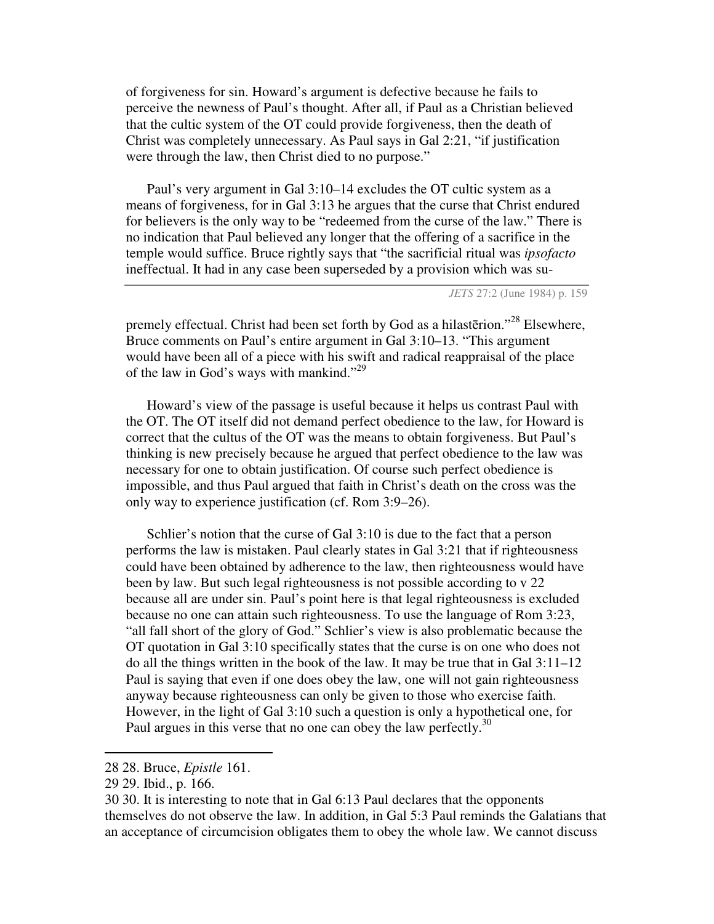of forgiveness for sin. Howard's argument is defective because he fails to perceive the newness of Paul's thought. After all, if Paul as a Christian believed that the cultic system of the OT could provide forgiveness, then the death of Christ was completely unnecessary. As Paul says in Gal 2:21, "if justification were through the law, then Christ died to no purpose."

Paul's very argument in Gal 3:10–14 excludes the OT cultic system as a means of forgiveness, for in Gal 3:13 he argues that the curse that Christ endured for believers is the only way to be "redeemed from the curse of the law." There is no indication that Paul believed any longer that the offering of a sacrifice in the temple would suffice. Bruce rightly says that "the sacrificial ritual was *ipsofacto* ineffectual. It had in any case been superseded by a provision which was su-

*JETS* 27:2 (June 1984) p. 159

premely effectual. Christ had been set forth by God as a hilasterion."<sup>28</sup> Elsewhere, Bruce comments on Paul's entire argument in Gal 3:10–13. "This argument would have been all of a piece with his swift and radical reappraisal of the place of the law in God's ways with mankind."<sup>29</sup>

Howard's view of the passage is useful because it helps us contrast Paul with the OT. The OT itself did not demand perfect obedience to the law, for Howard is correct that the cultus of the OT was the means to obtain forgiveness. But Paul's thinking is new precisely because he argued that perfect obedience to the law was necessary for one to obtain justification. Of course such perfect obedience is impossible, and thus Paul argued that faith in Christ's death on the cross was the only way to experience justification (cf. Rom 3:9–26).

Schlier's notion that the curse of Gal 3:10 is due to the fact that a person performs the law is mistaken. Paul clearly states in Gal 3:21 that if righteousness could have been obtained by adherence to the law, then righteousness would have been by law. But such legal righteousness is not possible according to v 22 because all are under sin. Paul's point here is that legal righteousness is excluded because no one can attain such righteousness. To use the language of Rom 3:23, "all fall short of the glory of God." Schlier's view is also problematic because the OT quotation in Gal 3:10 specifically states that the curse is on one who does not do all the things written in the book of the law. It may be true that in Gal 3:11–12 Paul is saying that even if one does obey the law, one will not gain righteousness anyway because righteousness can only be given to those who exercise faith. However, in the light of Gal 3:10 such a question is only a hypothetical one, for Paul argues in this verse that no one can obey the law perfectly.<sup>30</sup>

<sup>28</sup> 28. Bruce, *Epistle* 161.

<sup>29</sup> 29. Ibid., p. 166.

<sup>30</sup> 30. It is interesting to note that in Gal 6:13 Paul declares that the opponents themselves do not observe the law. In addition, in Gal 5:3 Paul reminds the Galatians that an acceptance of circumcision obligates them to obey the whole law. We cannot discuss